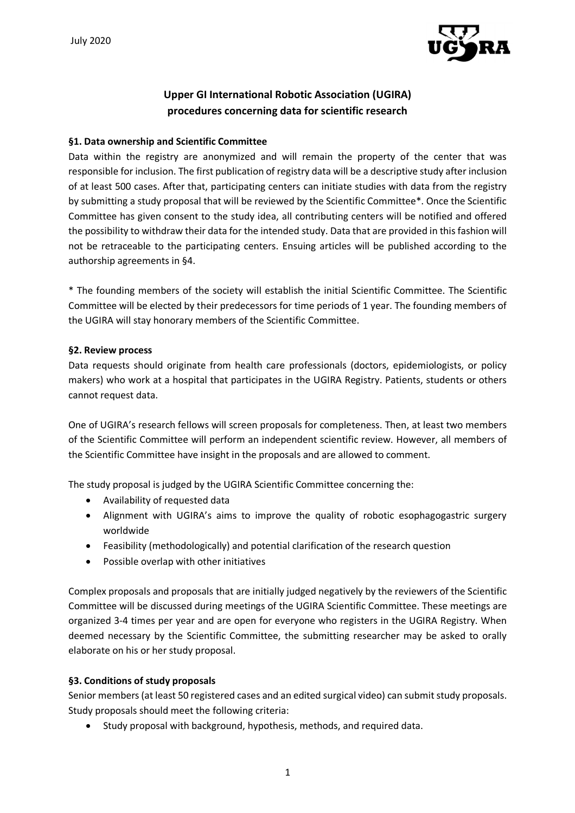

# **Upper GI International Robotic Association (UGIRA) procedures concerning data for scientific research**

#### **§1. Data ownership and Scientific Committee**

Data within the registry are anonymized and will remain the property of the center that was responsible for inclusion. The first publication of registry data will be a descriptive study after inclusion of at least 500 cases. After that, participating centers can initiate studies with data from the registry by submitting a study proposal that will be reviewed by the Scientific Committee\*. Once the Scientific Committee has given consent to the study idea, all contributing centers will be notified and offered the possibility to withdraw their data for the intended study. Data that are provided in this fashion will not be retraceable to the participating centers. Ensuing articles will be published according to the authorship agreements in §4.

\* The founding members of the society will establish the initial Scientific Committee. The Scientific Committee will be elected by their predecessors for time periods of 1 year. The founding members of the UGIRA will stay honorary members of the Scientific Committee.

#### **§2. Review process**

Data requests should originate from health care professionals (doctors, epidemiologists, or policy makers) who work at a hospital that participates in the UGIRA Registry. Patients, students or others cannot request data.

One of UGIRA's research fellows will screen proposals for completeness. Then, at least two members of the Scientific Committee will perform an independent scientific review. However, all members of the Scientific Committee have insight in the proposals and are allowed to comment.

The study proposal is judged by the UGIRA Scientific Committee concerning the:

- Availability of requested data
- Alignment with UGIRA's aims to improve the quality of robotic esophagogastric surgery worldwide
- Feasibility (methodologically) and potential clarification of the research question
- Possible overlap with other initiatives

Complex proposals and proposals that are initially judged negatively by the reviewers of the Scientific Committee will be discussed during meetings of the UGIRA Scientific Committee. These meetings are organized 3-4 times per year and are open for everyone who registers in the UGIRA Registry. When deemed necessary by the Scientific Committee, the submitting researcher may be asked to orally elaborate on his or her study proposal.

## **§3. Conditions of study proposals**

Senior members (at least 50 registered cases and an edited surgical video) can submit study proposals. Study proposals should meet the following criteria:

• Study proposal with background, hypothesis, methods, and required data.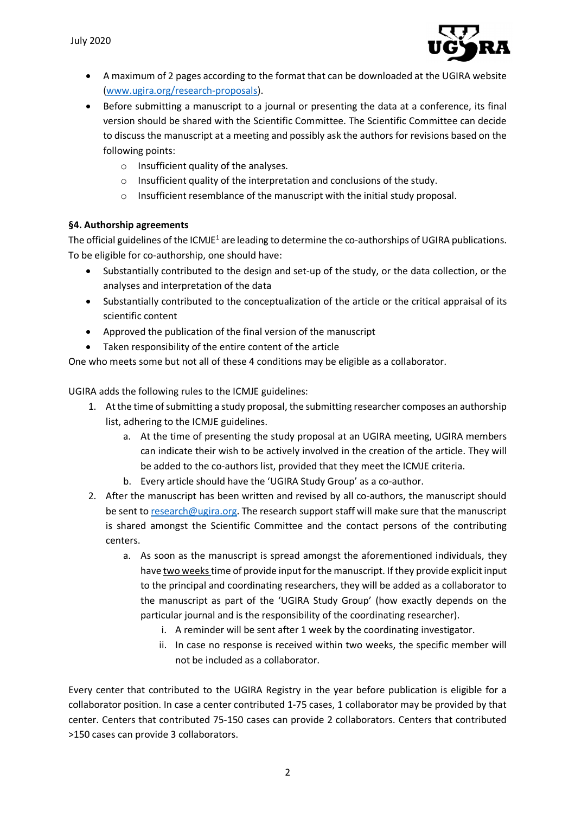

- A maximum of 2 pages according to the format that can be downloaded at the UGIRA website (www.ugira.org/research-proposals).
- Before submitting a manuscript to a journal or presenting the data at a conference, its final version should be shared with the Scientific Committee. The Scientific Committee can decide to discuss the manuscript at a meeting and possibly ask the authors for revisions based on the following points:
	- o Insufficient quality of the analyses.
	- o Insufficient quality of the interpretation and conclusions of the study.
	- o Insufficient resemblance of the manuscript with the initial study proposal.

## **§4. Authorship agreements**

The official guidelines of the ICMJE<sup>1</sup> are leading to determine the co-authorships of UGIRA publications. To be eligible for co-authorship, one should have:

- Substantially contributed to the design and set-up of the study, or the data collection, or the analyses and interpretation of the data
- Substantially contributed to the conceptualization of the article or the critical appraisal of its scientific content
- Approved the publication of the final version of the manuscript
- Taken responsibility of the entire content of the article

One who meets some but not all of these 4 conditions may be eligible as a collaborator.

UGIRA adds the following rules to the ICMJE guidelines:

- 1. At the time of submitting a study proposal, the submitting researcher composes an authorship list, adhering to the ICMJE guidelines.
	- a. At the time of presenting the study proposal at an UGIRA meeting, UGIRA members can indicate their wish to be actively involved in the creation of the article. They will be added to the co-authors list, provided that they meet the ICMJE criteria.
	- b. Every article should have the 'UGIRA Study Group' as a co-author.
- 2. After the manuscript has been written and revised by all co-authors, the manuscript should be sent to research@ugira.org. The research support staff will make sure that the manuscript is shared amongst the Scientific Committee and the contact persons of the contributing centers.
	- a. As soon as the manuscript is spread amongst the aforementioned individuals, they have two weekstime of provide input for the manuscript. If they provide explicit input to the principal and coordinating researchers, they will be added as a collaborator to the manuscript as part of the 'UGIRA Study Group' (how exactly depends on the particular journal and is the responsibility of the coordinating researcher).
		- i. A reminder will be sent after 1 week by the coordinating investigator.
		- ii. In case no response is received within two weeks, the specific member will not be included as a collaborator.

Every center that contributed to the UGIRA Registry in the year before publication is eligible for a collaborator position. In case a center contributed 1-75 cases, 1 collaborator may be provided by that center. Centers that contributed 75-150 cases can provide 2 collaborators. Centers that contributed >150 cases can provide 3 collaborators.